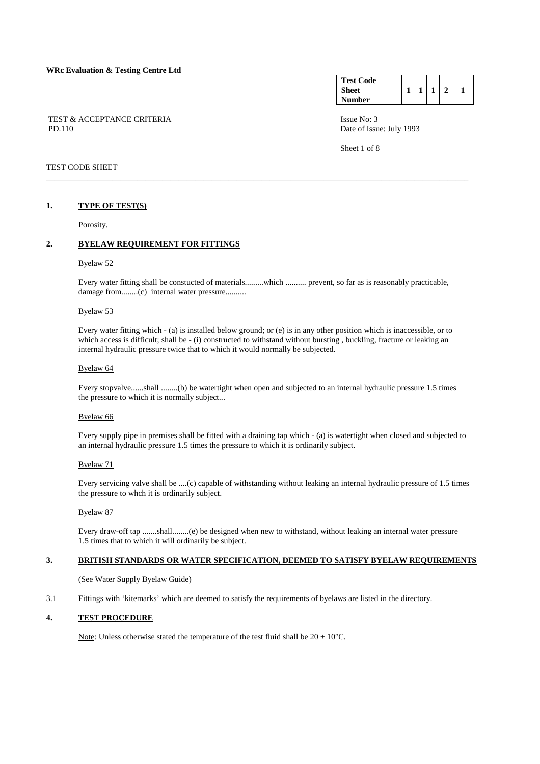## TEST & ACCEPTANCE CRITERIA **ISSUE NO:** 3 PD.110 Date of Issue: July 1993

#### **Test Code Sheet Number**   $1 \mid 1 \mid 1 \mid 2 \mid 1$

Sheet 1 of 8

## TEST CODE SHEET

## **1. TYPE OF TEST(S)**

Porosity.

## **2. BYELAW REQUIREMENT FOR FITTINGS**

## Byelaw 52

 Every water fitting shall be constucted of materials.........which .......... prevent, so far as is reasonably practicable, damage from........(c) internal water pressure..........

\_\_\_\_\_\_\_\_\_\_\_\_\_\_\_\_\_\_\_\_\_\_\_\_\_\_\_\_\_\_\_\_\_\_\_\_\_\_\_\_\_\_\_\_\_\_\_\_\_\_\_\_\_\_\_\_\_\_\_\_\_\_\_\_\_\_\_\_\_\_\_\_\_\_\_\_\_\_\_\_\_\_\_\_\_\_\_\_\_\_\_\_\_\_\_\_\_\_\_\_\_\_

## Byelaw 53

 Every water fitting which - (a) is installed below ground; or (e) is in any other position which is inaccessible, or to which access is difficult; shall be - (i) constructed to withstand without bursting, buckling, fracture or leaking an internal hydraulic pressure twice that to which it would normally be subjected.

## Byelaw 64

 Every stopvalve......shall ........(b) be watertight when open and subjected to an internal hydraulic pressure 1.5 times the pressure to which it is normally subject...

#### Byelaw 66

 Every supply pipe in premises shall be fitted with a draining tap which - (a) is watertight when closed and subjected to an internal hydraulic pressure 1.5 times the pressure to which it is ordinarily subject.

## Byelaw 71

 Every servicing valve shall be ....(c) capable of withstanding without leaking an internal hydraulic pressure of 1.5 times the pressure to whch it is ordinarily subject.

## Byelaw 87

 Every draw-off tap .......shall........(e) be designed when new to withstand, without leaking an internal water pressure 1.5 times that to which it will ordinarily be subject.

# **3. BRITISH STANDARDS OR WATER SPECIFICATION, DEEMED TO SATISFY BYELAW REQUIREMENTS**

(See Water Supply Byelaw Guide)

3.1 Fittings with 'kitemarks' which are deemed to satisfy the requirements of byelaws are listed in the directory.

## **4. TEST PROCEDURE**

Note: Unless otherwise stated the temperature of the test fluid shall be  $20 \pm 10^{\circ}$ C.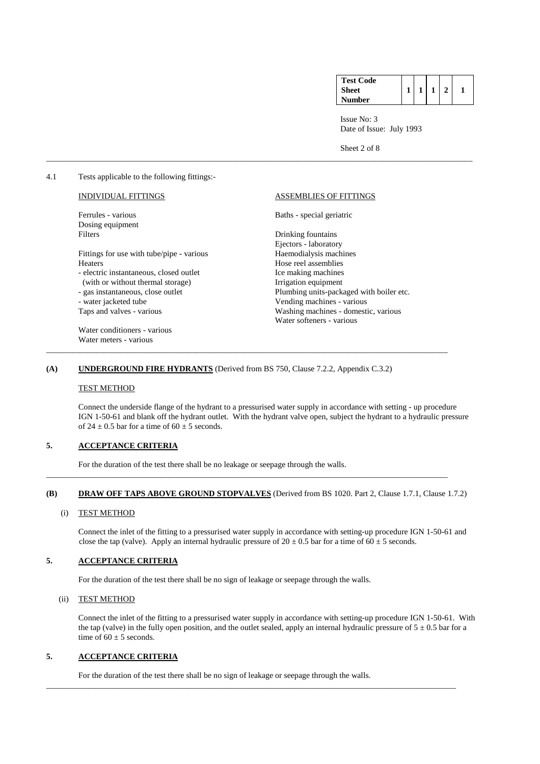| <b>Test Code</b> |  |  |  |
|------------------|--|--|--|
| <b>Sheet</b>     |  |  |  |
| Number           |  |  |  |

Sheet 2 of 8

4.1 Tests applicable to the following fittings:-

Dosing equipment Filters Drinking fountains

Fittings for use with tube/pipe - various Hose reel assemblies<br>
- electric instantaneous, closed outlet<br>
Ice making machines

- electric instantaneous, closed outlet

(with or without thermal storage) Irrigation equipment

- water jacketed tube Vending machines - various

 Water conditioners - various Water meters - various

## INDIVIDUAL FITTINGS ASSEMBLIES OF FITTINGS

Ferrules - various Baths - special geriatric

 Ejectors - laboratory - gas instantaneous, close outlet Plumbing units-packaged with boiler etc. Taps and valves - various Washing machines - domestic, various Water softeners - various

## **(A) UNDERGROUND FIRE HYDRANTS** (Derived from BS 750, Clause 7.2.2, Appendix C.3.2)

\_\_\_\_\_\_\_\_\_\_\_\_\_\_\_\_\_\_\_\_\_\_\_\_\_\_\_\_\_\_\_\_\_\_\_\_\_\_\_\_\_\_\_\_\_\_\_\_\_\_\_\_\_\_\_\_\_\_\_\_\_\_\_\_\_\_\_\_\_\_\_\_\_\_\_\_\_\_\_\_\_\_\_\_\_\_\_\_\_\_\_\_\_\_\_\_\_

#### TEST METHOD

 Connect the underside flange of the hydrant to a pressurised water supply in accordance with setting - up procedure IGN 1-50-61 and blank off the hydrant outlet. With the hydrant valve open, subject the hydrant to a hydraulic pressure of 24  $\pm$  0.5 bar for a time of 60  $\pm$  5 seconds.

\_\_\_\_\_\_\_\_\_\_\_\_\_\_\_\_\_\_\_\_\_\_\_\_\_\_\_\_\_\_\_\_\_\_\_\_\_\_\_\_\_\_\_\_\_\_\_\_\_\_\_\_\_\_\_\_\_\_\_\_\_\_\_\_\_\_\_\_\_\_\_\_\_\_\_\_\_\_\_\_\_\_\_\_\_\_\_\_\_\_\_\_\_\_\_\_\_\_\_\_\_\_\_

# **5. ACCEPTANCE CRITERIA**

For the duration of the test there shall be no leakage or seepage through the walls.

#### **(B) DRAW OFF TAPS ABOVE GROUND STOPVALVES** (Derived from BS 1020. Part 2, Clause 1.7.1, Clause 1.7.2)

\_\_\_\_\_\_\_\_\_\_\_\_\_\_\_\_\_\_\_\_\_\_\_\_\_\_\_\_\_\_\_\_\_\_\_\_\_\_\_\_\_\_\_\_\_\_\_\_\_\_\_\_\_\_\_\_\_\_\_\_\_\_\_\_\_\_\_\_\_\_\_\_\_\_\_\_\_\_\_\_\_\_\_\_\_\_\_\_\_\_\_\_\_\_\_\_\_

#### (i) TEST METHOD

 Connect the inlet of the fitting to a pressurised water supply in accordance with setting-up procedure IGN 1-50-61 and close the tap (valve). Apply an internal hydraulic pressure of  $20 \pm 0.5$  bar for a time of  $60 \pm 5$  seconds.

# **5. ACCEPTANCE CRITERIA**

For the duration of the test there shall be no sign of leakage or seepage through the walls.

#### (ii) TEST METHOD

 Connect the inlet of the fitting to a pressurised water supply in accordance with setting-up procedure IGN 1-50-61. With the tap (valve) in the fully open position, and the outlet sealed, apply an internal hydraulic pressure of  $5 \pm 0.5$  bar for a time of  $60 \pm 5$  seconds.

## **5. ACCEPTANCE CRITERIA**

For the duration of the test there shall be no sign of leakage or seepage through the walls.

\_\_\_\_\_\_\_\_\_\_\_\_\_\_\_\_\_\_\_\_\_\_\_\_\_\_\_\_\_\_\_\_\_\_\_\_\_\_\_\_\_\_\_\_\_\_\_\_\_\_\_\_\_\_\_\_\_\_\_\_\_\_\_\_\_\_\_\_\_\_\_\_\_\_\_\_\_\_\_\_\_\_\_\_\_\_\_\_\_\_\_\_\_\_\_\_\_\_\_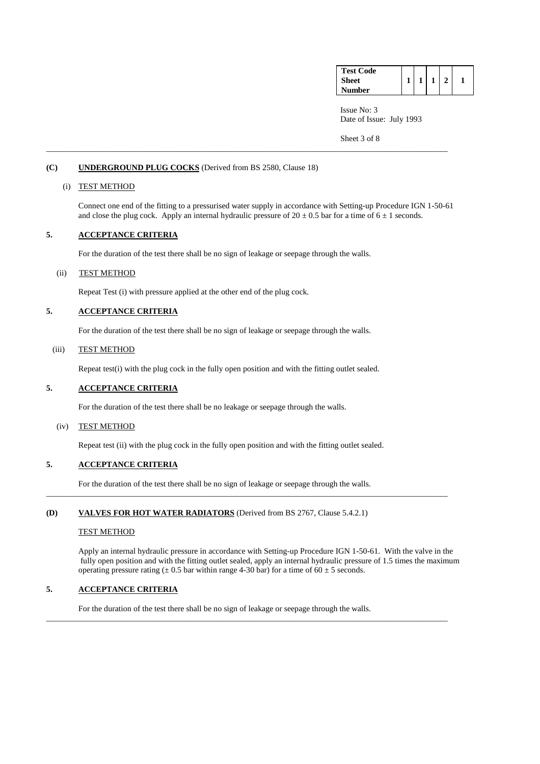| <b>Test Code</b> |  |  |  |
|------------------|--|--|--|
| Sheet            |  |  |  |
| Number           |  |  |  |

Sheet 3 of 8

## **(C) UNDERGROUND PLUG COCKS** (Derived from BS 2580, Clause 18)

## (i) TEST METHOD

Connect one end of the fitting to a pressurised water supply in accordance with Setting-up Procedure IGN 1-50-61 and close the plug cock. Apply an internal hydraulic pressure of  $20 \pm 0.5$  bar for a time of  $6 \pm 1$  seconds.

\_\_\_\_\_\_\_\_\_\_\_\_\_\_\_\_\_\_\_\_\_\_\_\_\_\_\_\_\_\_\_\_\_\_\_\_\_\_\_\_\_\_\_\_\_\_\_\_\_\_\_\_\_\_\_\_\_\_\_\_\_\_\_\_\_\_\_\_\_\_\_\_\_\_\_\_\_\_\_\_\_\_\_\_\_\_\_\_\_\_\_\_\_\_\_\_\_

# **5. ACCEPTANCE CRITERIA**

For the duration of the test there shall be no sign of leakage or seepage through the walls.

# (ii) TEST METHOD

Repeat Test (i) with pressure applied at the other end of the plug cock.

## **5. ACCEPTANCE CRITERIA**

For the duration of the test there shall be no sign of leakage or seepage through the walls.

## (iii) TEST METHOD

Repeat test(i) with the plug cock in the fully open position and with the fitting outlet sealed.

# **5. ACCEPTANCE CRITERIA**

For the duration of the test there shall be no leakage or seepage through the walls.

#### (iv) TEST METHOD

Repeat test (ii) with the plug cock in the fully open position and with the fitting outlet sealed.

# **5. ACCEPTANCE CRITERIA**

For the duration of the test there shall be no sign of leakage or seepage through the walls.

\_\_\_\_\_\_\_\_\_\_\_\_\_\_\_\_\_\_\_\_\_\_\_\_\_\_\_\_\_\_\_\_\_\_\_\_\_\_\_\_\_\_\_\_\_\_\_\_\_\_\_\_\_\_\_\_\_\_\_\_\_\_\_\_\_\_\_\_\_\_\_\_\_\_\_\_\_\_\_\_\_\_\_\_\_\_\_\_\_\_\_\_\_\_\_\_\_

\_\_\_\_\_\_\_\_\_\_\_\_\_\_\_\_\_\_\_\_\_\_\_\_\_\_\_\_\_\_\_\_\_\_\_\_\_\_\_\_\_\_\_\_\_\_\_\_\_\_\_\_\_\_\_\_\_\_\_\_\_\_\_\_\_\_\_\_\_\_\_\_\_\_\_\_\_\_\_\_\_\_\_\_\_\_\_\_\_\_\_\_\_\_\_\_\_

## **(D) VALVES FOR HOT WATER RADIATORS** (Derived from BS 2767, Clause 5.4.2.1)

#### TEST METHOD

 Apply an internal hydraulic pressure in accordance with Setting-up Procedure IGN 1-50-61. With the valve in the fully open position and with the fitting outlet sealed, apply an internal hydraulic pressure of 1.5 times the maximum operating pressure rating  $(\pm 0.5$  bar within range 4-30 bar) for a time of 60  $\pm$  5 seconds.

# **5. ACCEPTANCE CRITERIA**

For the duration of the test there shall be no sign of leakage or seepage through the walls.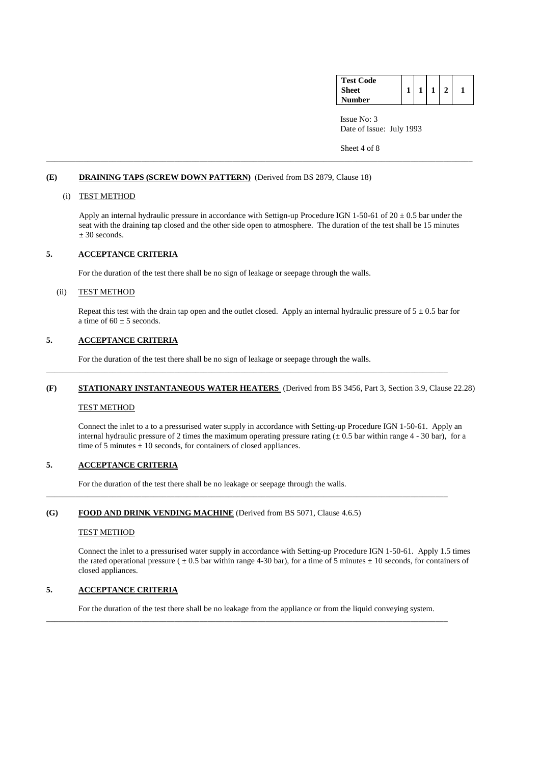| <b>Test Code</b> |  |  |  |
|------------------|--|--|--|
| <b>Sheet</b>     |  |  |  |
| Number           |  |  |  |

Sheet 4 of 8

## **(E) DRAINING TAPS (SCREW DOWN PATTERN)** (Derived from BS 2879, Clause 18)

## (i) TEST METHOD

Apply an internal hydraulic pressure in accordance with Settign-up Procedure IGN 1-50-61 of  $20 \pm 0.5$  bar under the seat with the draining tap closed and the other side open to atmosphere. The duration of the test shall be 15 minutes  $± 30$  seconds.

\_\_\_\_\_\_\_\_\_\_\_\_\_\_\_\_\_\_\_\_\_\_\_\_\_\_\_\_\_\_\_\_\_\_\_\_\_\_\_\_\_\_\_\_\_\_\_\_\_\_\_\_\_\_\_\_\_\_\_\_\_\_\_\_\_\_\_\_\_\_\_\_\_\_\_\_\_\_\_\_\_\_\_\_\_\_\_\_\_\_\_\_\_\_\_\_\_\_\_\_\_\_\_

# **5. ACCEPTANCE CRITERIA**

For the duration of the test there shall be no sign of leakage or seepage through the walls.

## (ii) TEST METHOD

Repeat this test with the drain tap open and the outlet closed. Apply an internal hydraulic pressure of  $5 \pm 0.5$  bar for a time of  $60 \pm 5$  seconds.

# **5. ACCEPTANCE CRITERIA**

For the duration of the test there shall be no sign of leakage or seepage through the walls.

#### **(F) STATIONARY INSTANTANEOUS WATER HEATERS** (Derived from BS 3456, Part 3, Section 3.9, Clause 22.28)

\_\_\_\_\_\_\_\_\_\_\_\_\_\_\_\_\_\_\_\_\_\_\_\_\_\_\_\_\_\_\_\_\_\_\_\_\_\_\_\_\_\_\_\_\_\_\_\_\_\_\_\_\_\_\_\_\_\_\_\_\_\_\_\_\_\_\_\_\_\_\_\_\_\_\_\_\_\_\_\_\_\_\_\_\_\_\_\_\_\_\_\_\_\_\_\_\_

\_\_\_\_\_\_\_\_\_\_\_\_\_\_\_\_\_\_\_\_\_\_\_\_\_\_\_\_\_\_\_\_\_\_\_\_\_\_\_\_\_\_\_\_\_\_\_\_\_\_\_\_\_\_\_\_\_\_\_\_\_\_\_\_\_\_\_\_\_\_\_\_\_\_\_\_\_\_\_\_\_\_\_\_\_\_\_\_\_\_\_\_\_\_\_\_\_

#### TEST METHOD

 Connect the inlet to a to a pressurised water supply in accordance with Setting-up Procedure IGN 1-50-61. Apply an internal hydraulic pressure of 2 times the maximum operating pressure rating ( $\pm$  0.5 bar within range 4 - 30 bar), for a time of 5 minutes  $\pm$  10 seconds, for containers of closed appliances.

# **5. ACCEPTANCE CRITERIA**

For the duration of the test there shall be no leakage or seepage through the walls.

## **(G) FOOD AND DRINK VENDING MACHINE** (Derived from BS 5071, Clause 4.6.5)

#### TEST METHOD

 Connect the inlet to a pressurised water supply in accordance with Setting-up Procedure IGN 1-50-61. Apply 1.5 times the rated operational pressure ( $\pm 0.5$  bar within range 4-30 bar), for a time of 5 minutes  $\pm 10$  seconds, for containers of closed appliances.

# **5. ACCEPTANCE CRITERIA**

For the duration of the test there shall be no leakage from the appliance or from the liquid conveying system.

\_\_\_\_\_\_\_\_\_\_\_\_\_\_\_\_\_\_\_\_\_\_\_\_\_\_\_\_\_\_\_\_\_\_\_\_\_\_\_\_\_\_\_\_\_\_\_\_\_\_\_\_\_\_\_\_\_\_\_\_\_\_\_\_\_\_\_\_\_\_\_\_\_\_\_\_\_\_\_\_\_\_\_\_\_\_\_\_\_\_\_\_\_\_\_\_\_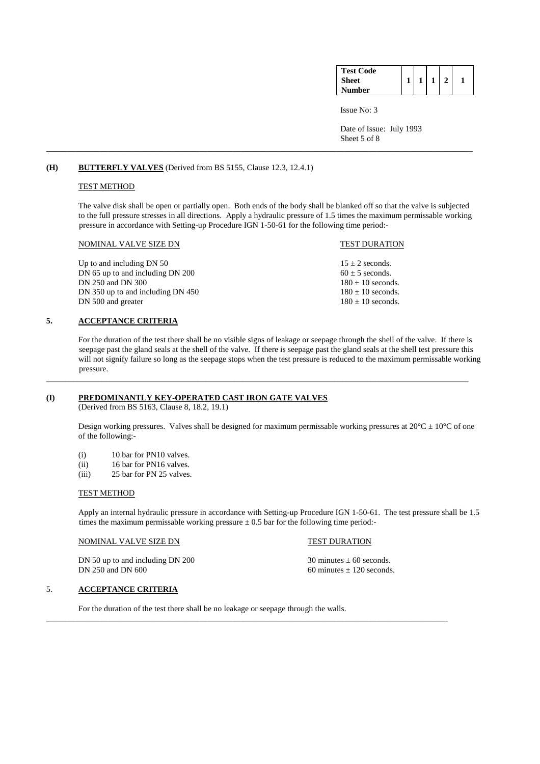| <b>Test Code</b> |  |  |  |
|------------------|--|--|--|
| <b>Sheet</b>     |  |  |  |
| <b>Number</b>    |  |  |  |

Issue No: 3

 Date of Issue: July 1993 Sheet 5 of 8

## **(H) BUTTERFLY VALVES** (Derived from BS 5155, Clause 12.3, 12.4.1)

## TEST METHOD

The valve disk shall be open or partially open. Both ends of the body shall be blanked off so that the valve is subjected to the full pressure stresses in all directions. Apply a hydraulic pressure of 1.5 times the maximum permissable working pressure in accordance with Setting-up Procedure IGN 1-50-61 for the following time period:-

\_\_\_\_\_\_\_\_\_\_\_\_\_\_\_\_\_\_\_\_\_\_\_\_\_\_\_\_\_\_\_\_\_\_\_\_\_\_\_\_\_\_\_\_\_\_\_\_\_\_\_\_\_\_\_\_\_\_\_\_\_\_\_\_\_\_\_\_\_\_\_\_\_\_\_\_\_\_\_\_\_\_\_\_\_\_\_\_\_\_\_\_\_\_\_\_\_\_\_\_\_\_\_

#### NOMINAL VALVE SIZE DN TEST DURATION

Up to and including DN 50 15 ± 2 seconds.<br>DN 65 up to and including DN 200 60 ± 5 seconds.  $DN$  65 up to and including  $DN$  200 DN 250 and DN 300 180  $\pm$  10 seconds. DN 350 up to and including DN 450 180  $\pm$  10 seconds. DN 500 and greater  $180 \pm 10$  seconds.

## **5. ACCEPTANCE CRITERIA**

 For the duration of the test there shall be no visible signs of leakage or seepage through the shell of the valve. If there is seepage past the gland seals at the shell of the valve. If there is seepage past the gland seals at the shell test pressure this will not signify failure so long as the seepage stops when the test pressure is reduced to the maximum permissable working pressure.

\_\_\_\_\_\_\_\_\_\_\_\_\_\_\_\_\_\_\_\_\_\_\_\_\_\_\_\_\_\_\_\_\_\_\_\_\_\_\_\_\_\_\_\_\_\_\_\_\_\_\_\_\_\_\_\_\_\_\_\_\_\_\_\_\_\_\_\_\_\_\_\_\_\_\_\_\_\_\_\_\_\_\_\_\_\_\_\_\_\_\_\_\_\_\_\_\_\_\_\_\_\_

### **(I) PREDOMINANTLY KEY-OPERATED CAST IRON GATE VALVES**

(Derived from BS 5163, Clause 8, 18.2, 19.1)

Design working pressures. Valves shall be designed for maximum permissable working pressures at  $20^{\circ}C \pm 10^{\circ}C$  of one of the following:-

- (i) 10 bar for PN10 valves.
- (ii) 16 bar for PN16 valves.
- (iii) 25 bar for PN 25 valves.

#### TEST METHOD

 Apply an internal hydraulic pressure in accordance with Setting-up Procedure IGN 1-50-61. The test pressure shall be 1.5 times the maximum permissable working pressure  $\pm$  0.5 bar for the following time period:-

## NOMINAL VALVE SIZE DN TEST DURATION

DN 50 up to and including DN 200  $30 \text{ minutes} \pm 60 \text{ seconds.}$ DN 250 and DN 600 60 minutes  $\pm$  120 seconds.

## 5. **ACCEPTANCE CRITERIA**

For the duration of the test there shall be no leakage or seepage through the walls.

\_\_\_\_\_\_\_\_\_\_\_\_\_\_\_\_\_\_\_\_\_\_\_\_\_\_\_\_\_\_\_\_\_\_\_\_\_\_\_\_\_\_\_\_\_\_\_\_\_\_\_\_\_\_\_\_\_\_\_\_\_\_\_\_\_\_\_\_\_\_\_\_\_\_\_\_\_\_\_\_\_\_\_\_\_\_\_\_\_\_\_\_\_\_\_\_\_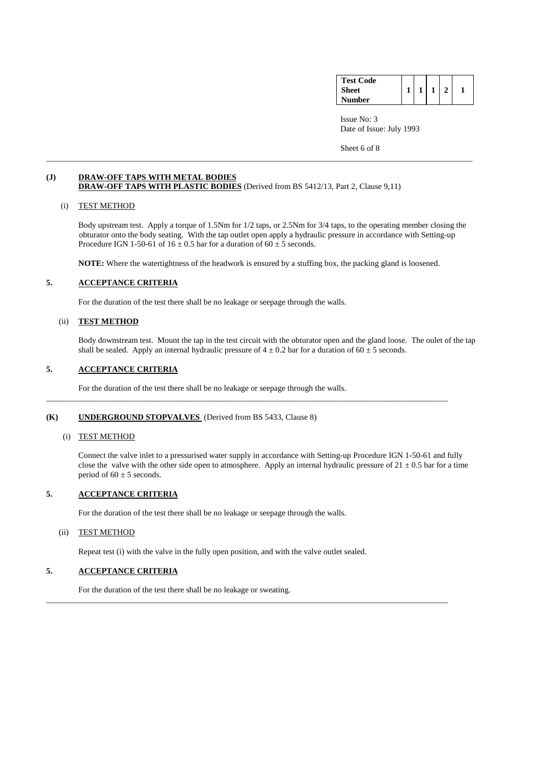| <b>Test Code</b> |  |  |  |
|------------------|--|--|--|
| <b>Sheet</b>     |  |  |  |
| <b>Number</b>    |  |  |  |

Sheet 6 of 8

## **(J) DRAW-OFF TAPS WITH METAL BODIES DRAW-OFF TAPS WITH PLASTIC BODIES** (Derived from BS 5412/13, Part 2, Clause 9,11)

#### (i) TEST METHOD

 Body upstream test. Apply a torque of 1.5Nm for 1/2 taps, or 2.5Nm for 3/4 taps, to the operating member closing the obturator onto the body seating. With the tap outlet open apply a hydraulic pressure in accordance with Setting-up Procedure IGN 1-50-61 of  $16 \pm 0.5$  bar for a duration of  $60 \pm 5$  seconds.

**NOTE:** Where the watertightness of the headwork is ensured by a stuffing box, the packing gland is loosened.

\_\_\_\_\_\_\_\_\_\_\_\_\_\_\_\_\_\_\_\_\_\_\_\_\_\_\_\_\_\_\_\_\_\_\_\_\_\_\_\_\_\_\_\_\_\_\_\_\_\_\_\_\_\_\_\_\_\_\_\_\_\_\_\_\_\_\_\_\_\_\_\_\_\_\_\_\_\_\_\_\_\_\_\_\_\_\_\_\_\_\_\_\_\_\_\_\_

\_\_\_\_\_\_\_\_\_\_\_\_\_\_\_\_\_\_\_\_\_\_\_\_\_\_\_\_\_\_\_\_\_\_\_\_\_\_\_\_\_\_\_\_\_\_\_\_\_\_\_\_\_\_\_\_\_\_\_\_\_\_\_\_\_\_\_\_\_\_\_\_\_\_\_\_\_\_\_\_\_\_\_\_\_\_\_\_\_\_\_\_\_\_\_\_\_\_\_\_\_\_\_

# **5. ACCEPTANCE CRITERIA**

For the duration of the test there shall be no leakage or seepage through the walls.

## (ii) **TEST METHOD**

Body downstream test. Mount the tap in the test circuit with the obturator open and the gland loose. The oulet of the tap shall be sealed. Apply an internal hydraulic pressure of  $4 \pm 0.2$  bar for a duration of  $60 \pm 5$  seconds.

## **5. ACCEPTANCE CRITERIA**

For the duration of the test there shall be no leakage or seepage through the walls.

## **(K) UNDERGROUND STOPVALVES** (Derived from BS 5433, Clause 8)

## (i) TEST METHOD

 Connect the valve inlet to a pressurised water supply in accordance with Setting-up Procedure IGN 1-50-61 and fully close the valve with the other side open to atmosphere. Apply an internal hydraulic pressure of  $21 \pm 0.5$  bar for a time period of  $60 \pm 5$  seconds.

## **5. ACCEPTANCE CRITERIA**

For the duration of the test there shall be no leakage or seepage through the walls.

## (ii) TEST METHOD

Repeat test (i) with the valve in the fully open position, and with the valve outlet sealed.

\_\_\_\_\_\_\_\_\_\_\_\_\_\_\_\_\_\_\_\_\_\_\_\_\_\_\_\_\_\_\_\_\_\_\_\_\_\_\_\_\_\_\_\_\_\_\_\_\_\_\_\_\_\_\_\_\_\_\_\_\_\_\_\_\_\_\_\_\_\_\_\_\_\_\_\_\_\_\_\_\_\_\_\_\_\_\_\_\_\_\_\_\_\_\_\_\_

# **5. ACCEPTANCE CRITERIA**

For the duration of the test there shall be no leakage or sweating.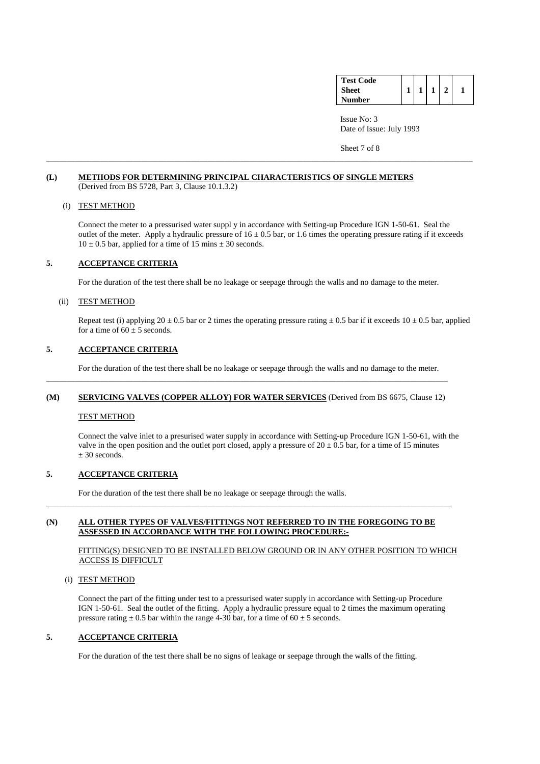| <b>Test Code</b> |  |  |  |
|------------------|--|--|--|
| <b>Sheet</b>     |  |  |  |
| Number           |  |  |  |

Sheet 7 of 8

## **(L) METHODS FOR DETERMINING PRINCIPAL CHARACTERISTICS OF SINGLE METERS** (Derived from BS 5728, Part 3, Clause 10.1.3.2)

## (i) TEST METHOD

 Connect the meter to a pressurised water suppl y in accordance with Setting-up Procedure IGN 1-50-61. Seal the outlet of the meter. Apply a hydraulic pressure of  $16 \pm 0.5$  bar, or 1.6 times the operating pressure rating if it exceeds  $10 \pm 0.5$  bar, applied for a time of 15 mins  $\pm 30$  seconds.

\_\_\_\_\_\_\_\_\_\_\_\_\_\_\_\_\_\_\_\_\_\_\_\_\_\_\_\_\_\_\_\_\_\_\_\_\_\_\_\_\_\_\_\_\_\_\_\_\_\_\_\_\_\_\_\_\_\_\_\_\_\_\_\_\_\_\_\_\_\_\_\_\_\_\_\_\_\_\_\_\_\_\_\_\_\_\_\_\_\_\_\_\_\_\_\_\_\_\_\_\_\_\_

# **5. ACCEPTANCE CRITERIA**

For the duration of the test there shall be no leakage or seepage through the walls and no damage to the meter.

## (ii) TEST METHOD

Repeat test (i) applying  $20 \pm 0.5$  bar or 2 times the operating pressure rating  $\pm 0.5$  bar if it exceeds  $10 \pm 0.5$  bar, applied for a time of  $60 \pm 5$  seconds.

## **5. ACCEPTANCE CRITERIA**

For the duration of the test there shall be no leakage or seepage through the walls and no damage to the meter.

#### **(M) SERVICING VALVES (COPPER ALLOY) FOR WATER SERVICES** (Derived from BS 6675, Clause 12)

\_\_\_\_\_\_\_\_\_\_\_\_\_\_\_\_\_\_\_\_\_\_\_\_\_\_\_\_\_\_\_\_\_\_\_\_\_\_\_\_\_\_\_\_\_\_\_\_\_\_\_\_\_\_\_\_\_\_\_\_\_\_\_\_\_\_\_\_\_\_\_\_\_\_\_\_\_\_\_\_\_\_\_\_\_\_\_\_\_\_\_\_\_\_\_\_\_

#### TEST METHOD

 Connect the valve inlet to a presurised water supply in accordance with Setting-up Procedure IGN 1-50-61, with the valve in the open position and the outlet port closed, apply a pressure of  $20 \pm 0.5$  bar, for a time of 15 minutes  $± 30$  seconds.

## **5. ACCEPTANCE CRITERIA**

For the duration of the test there shall be no leakage or seepage through the walls.

## **(N) ALL OTHER TYPES OF VALVES/FITTINGS NOT REFERRED TO IN THE FOREGOING TO BE ASSESSED IN ACCORDANCE WITH THE FOLLOWING PROCEDURE:-**

\_\_\_\_\_\_\_\_\_\_\_\_\_\_\_\_\_\_\_\_\_\_\_\_\_\_\_\_\_\_\_\_\_\_\_\_\_\_\_\_\_\_\_\_\_\_\_\_\_\_\_\_\_\_\_\_\_\_\_\_\_\_\_\_\_\_\_\_\_\_\_\_\_\_\_\_\_\_\_\_\_\_\_\_\_\_\_\_\_\_\_\_\_\_\_\_\_\_

## FITTING(S) DESIGNED TO BE INSTALLED BELOW GROUND OR IN ANY OTHER POSITION TO WHICH ACCESS IS DIFFICULT

#### (i) TEST METHOD

 Connect the part of the fitting under test to a pressurised water supply in accordance with Setting-up Procedure IGN 1-50-61. Seal the outlet of the fitting. Apply a hydraulic pressure equal to 2 times the maximum operating pressure rating  $\pm$  0.5 bar within the range 4-30 bar, for a time of 60  $\pm$  5 seconds.

## **5. ACCEPTANCE CRITERIA**

For the duration of the test there shall be no signs of leakage or seepage through the walls of the fitting.